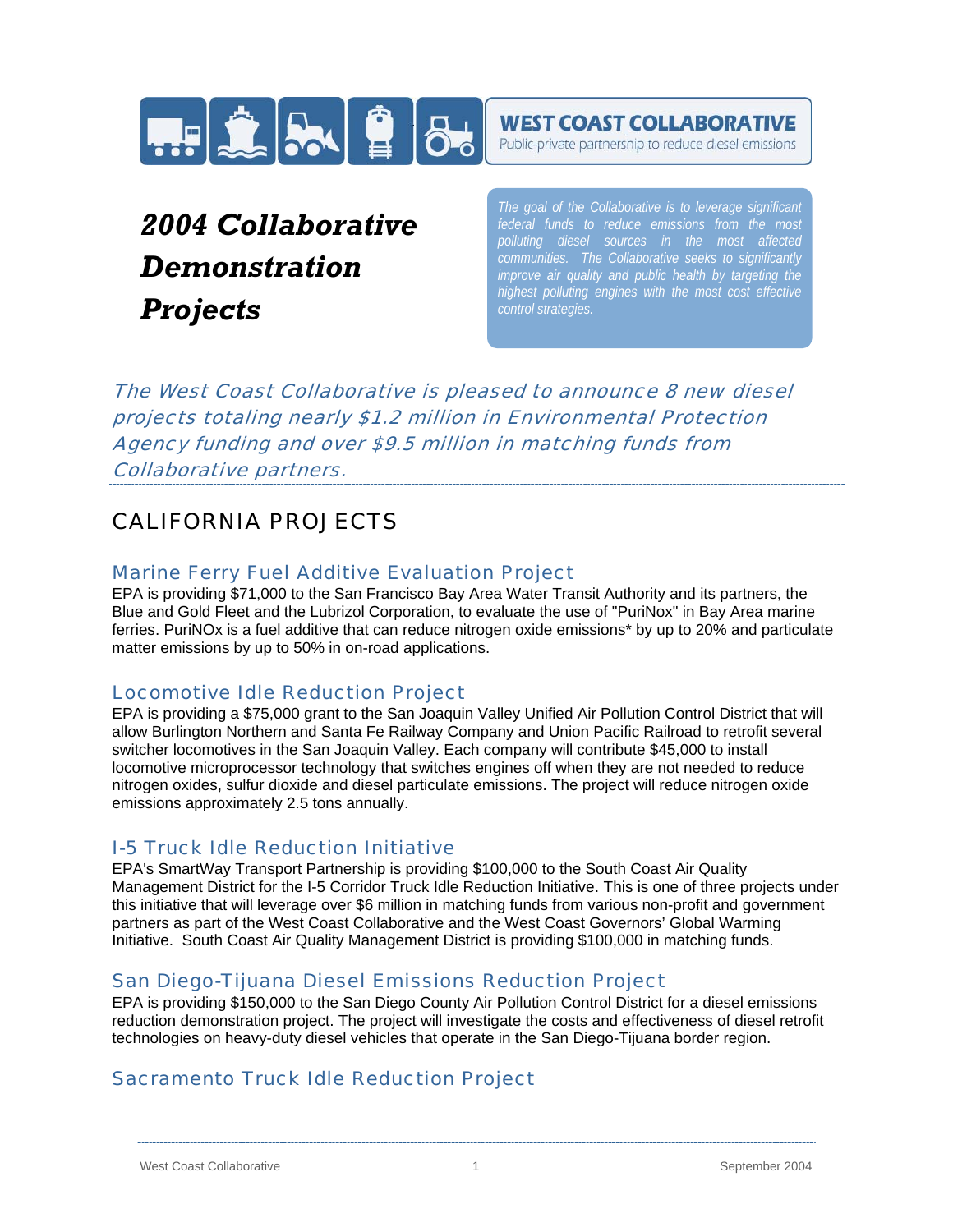

### **WEST COAST COLLABORATIVE**

Public-private partnership to reduce diesel emissions

# *2004 Collaborative Demonstration Projects*

*The goal of the Collaborative is to leverage significant polluting diesel sources in the most affected communities. The Collaborative seeks to significantly improve air quality and public health by targeting the highest polluting engines with the most cost effective control strategies.*

The West Coast Collaborative is pleased to announce 8 new diesel projects totaling nearly \$1.2 million in Environmental Protection Agency funding and over \$9.5 million in matching funds from Collaborative partners.

# CALIFORNIA PROJECTS

### Marine Ferry Fuel Additive Evaluation Project

EPA is providing \$71,000 to the San Francisco Bay Area Water Transit Authority and its partners, the Blue and Gold Fleet and the Lubrizol Corporation, to evaluate the use of "PuriNox" in Bay Area marine ferries. PuriNOx is a fuel additive that can reduce nitrogen oxide emissions\* by up to 20% and particulate matter emissions by up to 50% in on-road applications.

### Locomotive Idle Reduction Project

EPA is providing a \$75,000 grant to the San Joaquin Valley Unified Air Pollution Control District that will allow Burlington Northern and Santa Fe Railway Company and Union Pacific Railroad to retrofit several switcher locomotives in the San Joaquin Valley. Each company will contribute \$45,000 to install locomotive microprocessor technology that switches engines off when they are not needed to reduce nitrogen oxides, sulfur dioxide and diesel particulate emissions. The project will reduce nitrogen oxide emissions approximately 2.5 tons annually.

### I-5 Truck Idle Reduction Initiative

EPA's SmartWay Transport Partnership is providing \$100,000 to the South Coast Air Quality Management District for the I-5 Corridor Truck Idle Reduction Initiative. This is one of three projects under this initiative that will leverage over \$6 million in matching funds from various non-profit and government partners as part of the West Coast Collaborative and the West Coast Governors' Global Warming Initiative. South Coast Air Quality Management District is providing \$100,000 in matching funds.

### San Diego-Tijuana Diesel Emissions Reduction Project

EPA is providing \$150,000 to the San Diego County Air Pollution Control District for a diesel emissions reduction demonstration project. The project will investigate the costs and effectiveness of diesel retrofit technologies on heavy-duty diesel vehicles that operate in the San Diego-Tijuana border region.

### Sacramento Truck Idle Reduction Project

West Coast Collaborative **1** New York 1 September 2004